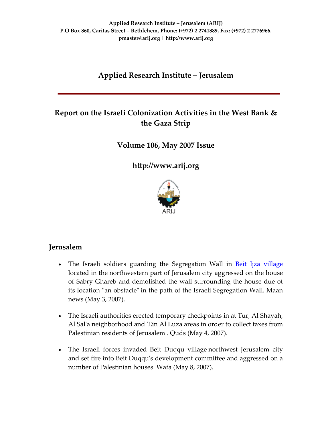# **Applied Research Institute – Jerusalem**

# **Report on the Israeli Colonization Activities in the West Bank & the Gaza Strip**

**Volume 106, May 2007 Issue**

**[http://www.arij.org](http://www.arij.org/)**



### **Jerusalem**

- The Israeli soldiers guarding the Segregation Wall in **Beit Ijza [village](http://www.poica.org/editor/case_studies/view.php?recordID=925)** located in the northwestern part of Jerusalem city aggressed on the house of Sabry Ghareb and demolished the wall surrounding the house due ot its location "an obstacle" in the path of the Israeli Segregation Wall. Maan news (May 3, 2007).
- The Israeli authorities erected temporary checkpoints in at Tur, Al Shayah, Al Sal'a neighborhood and 'Ein Al Luza areas in order to collect taxes from Palestinian residents of Jerusalem . Quds (May 4, 2007).
- The Israeli forces invaded Beit Duqqu village northwest Jerusalem city and set fire into Beit Duqquʹs development committee and aggressed on a number of Palestinian houses. Wafa (May 8, 2007).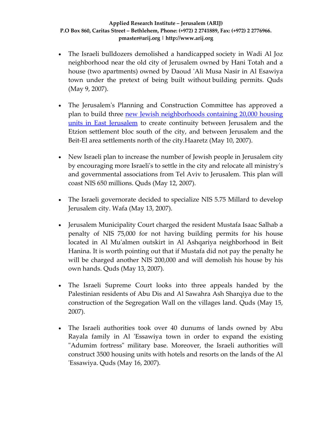- The Israeli bulldozers demolished a handicapped society in Wadi Al Joz neighborhood near the old city of Jerusalem owned by Hani Totah and a house (two apartments) owned by Daoud ʹAli Musa Nasir in Al Esawiya town under the pretext of being built without building permits. Quds (May 9, 2007).
- The Jerusalem's Planning and Construction Committee has approved a plan to build three new Jewish [neighborhoods](http://www.poica.org/editor/case_studies/view.php?recordID=1073) containing 20,000 housing units in East [Jerusalem](http://www.poica.org/editor/case_studies/view.php?recordID=1073) to create continuity between Jerusalem and the Etzion settlement bloc south of the city, and between Jerusalem and the Beit‐El area settlements north of the city.Haaretz (May 10, 2007).
- New Israeli plan to increase the number of Jewish people in Jerusalem city by encouraging more Israeliʹs to settle in the city and relocate all ministryʹs and governmental associations from Tel Aviv to Jerusalem. This plan will coast NIS 650 millions. Quds (May 12, 2007).
- The Israeli governorate decided to specialize NIS 5.75 Millard to develop Jerusalem city. Wafa (May 13, 2007).
- Jerusalem Municipality Court charged the resident Mustafa Isaac Salhab a penalty of NIS 75,000 for not having building permits for his house located in Al Muʹalmen outskirt in Al Ashqariya neighborhood in Beit Hanina. It is worth pointing out that if Mustafa did not pay the penalty he will be charged another NIS 200,000 and will demolish his house by his own hands. Quds (May 13, 2007).
- The Israeli Supreme Court looks into three appeals handed by the Palestinian residents of Abu Dis and Al Sawahra Ash Sharqiya due to the construction of the Segregation Wall on the villages land. Quds (May 15, 2007).
- The Israeli authorities took over 40 dunums of lands owned by Abu Rayala family in Al 'Essawiya town in order to expand the existing ʺAdumim fortressʺ military base. Moreover, the Israeli authorities will construct 3500 housing units with hotels and resorts on the lands of the Al ʹEssawiya. Quds (May 16, 2007).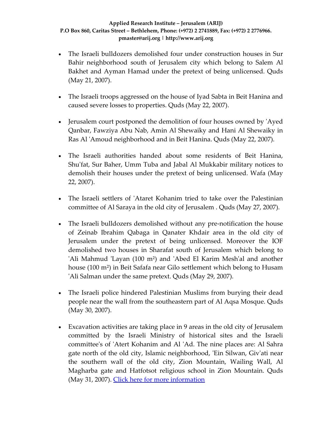- The Israeli bulldozers demolished four under construction houses in Sur Bahir neighborhood south of Jerusalem city which belong to Salem Al Bakhet and Ayman Hamad under the pretext of being unlicensed. Quds (May 21, 2007).
- The Israeli troops aggressed on the house of Iyad Sabta in Beit Hanina and caused severe losses to properties. Quds (May 22, 2007).
- Jerusalem court postponed the demolition of four houses owned by 'Ayed Qanbar, Fawziya Abu Nab, Amin Al Shewaiky and Hani Al Shewaiky in Ras Al ʹAmoud neighborhood and in Beit Hanina. Quds (May 22, 2007).
- The Israeli authorities handed about some residents of Beit Hanina, Shuʹfat, Sur Baher, Umm Tuba and Jabal Al Mukkabir military notices to demolish their houses under the pretext of being unlicensed. Wafa (May 22, 2007).
- The Israeli settlers of 'Ataret Kohanim tried to take over the Palestinian committee of Al Saraya in the old city of Jerusalem . Quds (May 27, 2007).
- The Israeli bulldozers demolished without any pre-notification the house of Zeinab Ibrahim Qabaga in Qanater Khdair area in the old city of Jerusalem under the pretext of being unlicensed. Moreover the IOF demolished two houses in Sharafat south of Jerusalem which belong to 'Ali Mahmud 'Layan (100 m<sup>2</sup>) and 'Abed El Karim Mesh'al and another house (100 m²) in Beit Safafa near Gilo settlement which belong to Husam ʹAli Salman under the same pretext. Quds (May 29, 2007).
- The Israeli police hindered Palestinian Muslims from burying their dead people near the wall from the southeastern part of Al Aqsa Mosque. Quds (May 30, 2007).
- Excavation activities are taking place in 9 areas in the old city of Jerusalem committed by the Israeli Ministry of historical sites and the Israeli committeeʹs of ʹAtert Kohanim and Al ʹAd. The nine places are: Al Sahra gate north of the old city, Islamic neighborhood, 'Ein Silwan, Giv'ati near the southern wall of the old city, Zion Mountain, Wailing Wall, Al Magharba gate and Hatfotsot religious school in Zion Mountain. Quds (May 31, 2007). Click here for more [information](http://www.poica.org/editor/case_studies/view.php?recordID=1053)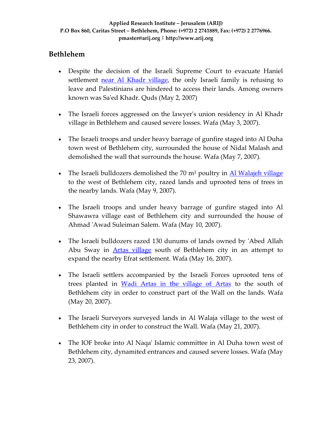### **Bethlehem**

- Despite the decision of the Israeli Supreme Court to evacuate Haniel settlement near Al Khadr [village](http://www.poica.org/editor/case_studies/view.php?recordID=942), the only Israeli family is refusing to leave and Palestinians are hindered to access their lands. Among owners known was Saʹed Khadr. Quds (May 2, 2007)
- The Israeli forces aggressed on the lawyer's union residency in Al Khadr village in Bethlehem and caused severe losses. Wafa (May 3, 2007).
- The Israeli troops and under heavy barrage of gunfire staged into Al Duha town west of Bethlehem city, surrounded the house of Nidal Malash and demolished the wall that surrounds the house. Wafa (May 7, 2007).
- The Israeli bulldozers demolished the 70 m<sup>2</sup> poultry in Al [Walajeh](http://www.poica.org/editor/case_studies/view.php?recordID=1072) village to the west of Bethlehem city, razed lands and uprooted tens of trees in the nearby lands. Wafa (May 9, 2007).
- The Israeli troops and under heavy barrage of gunfire staged into Al Shawawra village east of Bethlehem city and surrounded the house of Ahmad ʹAwad Suleiman Salem. Wafa (May 10, 2007).
- The Israeli bulldozers razed 130 dunums of lands owned by 'Abed Allah Abu Sway in Artas [village](http://www.poica.org/editor/case_studies/view.php?recordID=1074) south of Bethlehem city in an attempt to expand the nearby Efrat settlement. Wafa (May 16, 2007).
- The Israeli settlers accompanied by the Israeli Forces uprooted tens of trees planted in Wadi Artas in the [village](http://www.poica.org/editor/case_studies/view.php?recordID=1074) of Artas to the south of Bethlehem city in order to construct part of the Wall on the lands. Wafa (May 20, 2007).
- The Israeli Surveyors surveyed lands in Al Walaja village to the west of Bethlehem city in order to construct the Wall. Wafa (May 21, 2007).
- The IOF broke into Al Naqa' Islamic committee in Al Duha town west of Bethlehem city, dynamited entrances and caused severe losses. Wafa (May 23, 2007).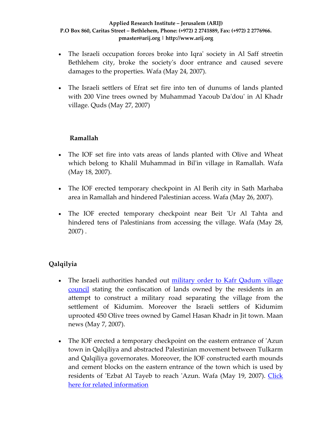- The Israeli occupation forces broke into Iqra' society in Al Saff streetin Bethlehem city, broke the society's door entrance and caused severe damages to the properties. Wafa (May 24, 2007).
- The Israeli settlers of Efrat set fire into ten of dunums of lands planted with 200 Vine trees owned by Muhammad Yacoub Daʹdouʹ in Al Khadr village. Quds (May 27, 2007)

### **Ramallah**

- The IOF set fire into vats areas of lands planted with Olive and Wheat which belong to Khalil Muhammad in Bilʹin village in Ramallah. Wafa (May 18, 2007).
- The IOF erected temporary checkpoint in Al Berih city in Sath Marhaba area in Ramallah and hindered Palestinian access. Wafa (May 26, 2007).
- The IOF erected temporary checkpoint near Beit 'Ur Al Tahta and hindered tens of Palestinians from accessing the village. Wafa (May 28, 2007) .

## **Qalqilyia**

- The Israeli authorities handed out [military](http://www.poica.org/editor/case_studies/view.php?recordID=1067) order to Kafr Qadum village [council](http://www.poica.org/editor/case_studies/view.php?recordID=1067) stating the confiscation of lands owned by the residents in an attempt to construct a military road separating the village from the settlement of Kidumim. Moreover the Israeli settlers of Kidumim uprooted 450 Olive trees owned by Gamel Hasan Khadr in Jit town. Maan news (May 7, 2007).
- The IOF erected a temporary checkpoint on the eastern entrance of 'Azun town in Qalqiliya and abstracted Palestinian movement between Tulkarm and Qalqiliya governorates. Moreover, the IOF constructed earth mounds and cement blocks on the eastern entrance of the town which is used by residents of 'Ezbat Al Tayeb to reach 'Azun. Wafa (May 19, 2007). [Click](http://www.poica.org/editor/case_studies/view.php?recordID=1052) here for related [information](http://www.poica.org/editor/case_studies/view.php?recordID=1052)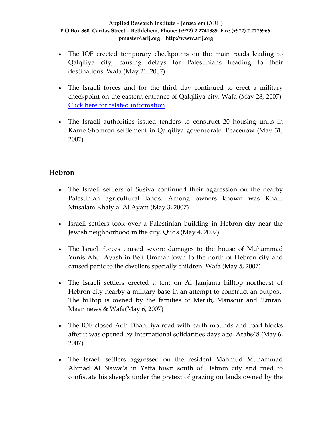- The IOF erected temporary checkpoints on the main roads leading to Qalqiliya city, causing delays for Palestinians heading to their destinations. Wafa (May 21, 2007).
- The Israeli forces and for the third day continued to erect a military checkpoint on the eastern entrance of Qalqiliya city. Wafa (May 28, 2007). Click here for related [information](http://www.poica.org/editor/case_studies/view.php?recordID=1052)
- The Israeli authorities issued tenders to construct 20 housing units in Karne Shomron settlement in Qalqiliya governorate. Peacenow (May 31, 2007).

### **Hebron**

- The Israeli settlers of Susiya continued their aggression on the nearby Palestinian agricultural lands. Among owners known was Khalil Musalam Khalyla. Al Ayam (May 3, 2007)
- Israeli settlers took over a Palestinian building in Hebron city near the Jewish neighborhood in the city. Quds (May 4, 2007)
- The Israeli forces caused severe damages to the house of Muhammad Yunis Abu 'Ayash in Beit Ummar town to the north of Hebron city and caused panic to the dwellers specially children. Wafa (May 5, 2007)
- The Israeli settlers erected a tent on Al Jamjama hilltop northeast of Hebron city nearby a military base in an attempt to construct an outpost. The hilltop is owned by the families of Mer'ib, Mansour and 'Emran. Maan news & Wafa(May 6, 2007)
- The IOF closed Adh Dhahiriya road with earth mounds and road blocks after it was opened by International solidarities days ago. Arabs48 (May 6, 2007)
- The Israeli settlers aggressed on the resident Mahmud Muhammad Ahmad Al Nawajʹa in Yatta town south of Hebron city and tried to confiscate his sheepʹs under the pretext of grazing on lands owned by the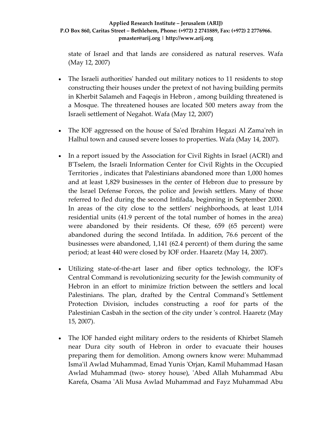state of Israel and that lands are considered as natural reserves. Wafa (May 12, 2007)

- The Israeli authorities' handed out military notices to 11 residents to stop constructing their houses under the pretext of not having building permits in Kherbit Salameh and Faqeqis in Hebron , among building threatened is a Mosque. The threatened houses are located 500 meters away from the Israeli settlement of Negahot. Wafa (May 12, 2007)
- The IOF aggressed on the house of Sa'ed Ibrahim Hegazi Al Zama'reh in Halhul town and caused severe losses to properties. Wafa (May 14, 2007).
- In a report issued by the Association for Civil Rights in Israel (ACRI) and BʹTselem, the Israeli Information Center for Civil Rights in the Occupied Territories , indicates that Palestinians abandoned more than 1,000 homes and at least 1,829 businesses in the center of Hebron due to pressure by the Israel Defense Forces, the police and Jewish settlers. Many of those referred to fled during the second Intifada, beginning in September 2000. In areas of the city close to the settlersʹ neighborhoods, at least 1,014 residential units (41.9 percent of the total number of homes in the area) were abandoned by their residents. Of these, 659 (65 percent) were abandoned during the second Intifada. In addition, 76.6 percent of the businesses were abandoned, 1,141 (62.4 percent) of them during the same period; at least 440 were closed by IOF order. Haaretz (May 14, 2007).
- Utilizing state-of-the-art laser and fiber optics technology, the IOF's Central Command is revolutionizing security for the Jewish community of Hebron in an effort to minimize friction between the settlers and local Palestinians. The plan, drafted by the Central Command's Settlement Protection Division, includes constructing a roof for parts of the Palestinian Casbah in the section of the city under ʹs control. Haaretz (May 15, 2007).
- The IOF handed eight military orders to the residents of Khirbet Slameh near Dura city south of Hebron in order to evacuate their houses preparing them for demolition. Among owners know were: Muhammad Ismaʹil Awlad Muhammad, Emad Yunis ʹOrjan, Kamil Muhammad Hasan Awlad Muhammad (two‐ storey house), ʹAbed Allah Muhammad Abu Karefa, Osama ʹAli Musa Awlad Muhammad and Fayz Muhammad Abu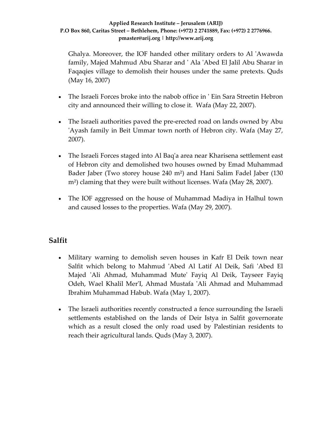Ghalya. Moreover, the IOF handed other military orders to Al ʹAwawda family, Majed Mahmud Abu Sharar and ʹ Ala ʹAbed El Jalil Abu Sharar in Faqaqies village to demolish their houses under the same pretexts. Quds (May 16, 2007)

- The Israeli Forces broke into the nabob office in 'Ein Sara Streetin Hebron city and announced their willing to close it. Wafa (May 22, 2007).
- The Israeli authorities paved the pre-erected road on lands owned by Abu ʹAyash family in Beit Ummar town north of Hebron city. Wafa (May 27, 2007).
- The Israeli Forces staged into Al Baq'a area near Kharisena settlement east of Hebron city and demolished two houses owned by Emad Muhammad Bader Jaber (Two storey house 240 m²) and Hani Salim Fadel Jaber (130 m²) claming that they were built without licenses. Wafa (May 28, 2007).
- The IOF aggressed on the house of Muhammad Madiya in Halhul town and caused losses to the properties. Wafa (May 29, 2007).

## **Salfit**

- Military warning to demolish seven houses in Kafr El Deik town near Salfit which belong to Mahmud 'Abed Al Latif Al Deik, Safi 'Abed El Majed ʹAli Ahmad, Muhammad Muteʹ Fayiq Al Deik, Tayseer Fayiq Odeh, Wael Khalil MerʹI, Ahmad Mustafa ʹAli Ahmad and Muhammad Ibrahim Muhammad Habub. Wafa (May 1, 2007).
- The Israeli authorities recently constructed a fence surrounding the Israeli settlements established on the lands of Deir Istya in Salfit governorate which as a result closed the only road used by Palestinian residents to reach their agricultural lands. Quds (May 3, 2007).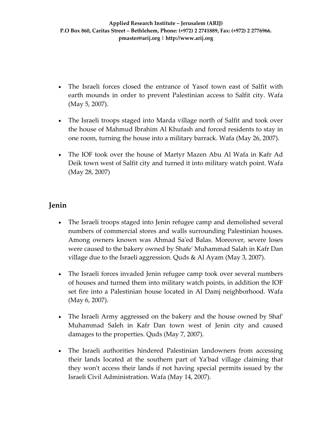- The Israeli forces closed the entrance of Yasof town east of Salfit with earth mounds in order to prevent Palestinian access to Salfit city. Wafa (May 5, 2007).
- The Israeli troops staged into Marda village north of Salfit and took over the house of Mahmud Ibrahim Al Khufash and forced residents to stay in one room, turning the house into a military barrack. Wafa (May 26, 2007).
- The IOF took over the house of Martyr Mazen Abu Al Wafa in Kafr Ad Deik town west of Salfit city and turned it into military watch point. Wafa (May 28, 2007)

### **Jenin**

- The Israeli troops staged into Jenin refugee camp and demolished several numbers of commercial stores and walls surrounding Palestinian houses. Among owners known was Ahmad Saʹed Balas. Moreover, severe loses were caused to the bakery owned by Shafeʹ Muhammad Salah in Kafr Dan village due to the Israeli aggression. Quds & Al Ayam (May 3, 2007).
- The Israeli forces invaded Jenin refugee camp took over several numbers of houses and turned them into military watch points, in addition the IOF set fire into a Palestinian house located in Al Damj neighborhood. Wafa (May 6, 2007).
- The Israeli Army aggressed on the bakery and the house owned by Shaf' Muhammad Saleh in Kafr Dan town west of Jenin city and caused damages to the properties. Quds (May 7, 2007).
- The Israeli authorities hindered Palestinian landowners from accessing their lands located at the southern part of Yaʹbad village claiming that they wonʹt access their lands if not having special permits issued by the Israeli Civil Administration. Wafa (May 14, 2007).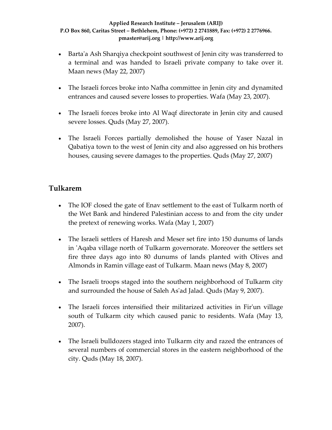- Barta'a Ash Sharqiya checkpoint southwest of Jenin city was transferred to a terminal and was handed to Israeli private company to take over it. Maan news (May 22, 2007)
- The Israeli forces broke into Nafha committee in Jenin city and dynamited entrances and caused severe losses to properties. Wafa (May 23, 2007).
- The Israeli forces broke into Al Waqf directorate in Jenin city and caused severe losses. Quds (May 27, 2007).
- The Israeli Forces partially demolished the house of Yaser Nazal in Qabatiya town to the west of Jenin city and also aggressed on his brothers houses, causing severe damages to the properties. Quds (May 27, 2007)

## **Tulkarem**

- The IOF closed the gate of Enav settlement to the east of Tulkarm north of the Wet Bank and hindered Palestinian access to and from the city under the pretext of renewing works. Wafa (May 1, 2007)
- The Israeli settlers of Haresh and Meser set fire into 150 dunums of lands in ʹAqaba village north of Tulkarm governorate. Moreover the settlers set fire three days ago into 80 dunums of lands planted with Olives and Almonds in Ramin village east of Tulkarm. Maan news (May 8, 2007)
- The Israeli troops staged into the southern neighborhood of Tulkarm city and surrounded the house of Saleh Asʹad Jalad. Quds (May 9, 2007).
- The Israeli forces intensified their militarized activities in Fir'un village south of Tulkarm city which caused panic to residents. Wafa (May 13, 2007).
- The Israeli bulldozers staged into Tulkarm city and razed the entrances of several numbers of commercial stores in the eastern neighborhood of the city. Quds (May 18, 2007).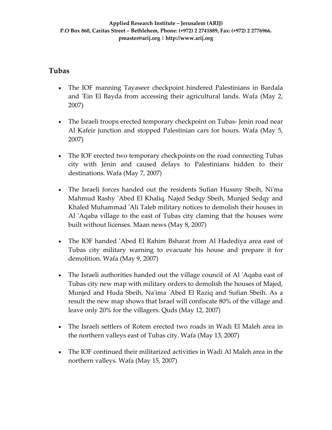### **Tubas**

- The IOF manning Tayaseer checkpoint hindered Palestinians in Bardala and 'Ein El Bayda from accessing their agricultural lands. Wafa (May 2, 2007)
- The Israeli troops erected temporary checkpoint on Tubas-Jenin road near Al Kafeir junction and stopped Palestinian cars for hours. Wafa (May 5, 2007)
- The IOF erected two temporary checkpoints on the road connecting Tubas city with Jenin and caused delays to Palestinians hidden to their destinations. Wafa (May 7, 2007)
- The Israeli forces handed out the residents Sufian Hussny Sbeih, Ni'ma Mahmud Rashy ʹAbed El Khaliq, Najed Sedqy Sbeih, Munjed Sedqy and Khaled Muhammad 'Ali Taleb military notices to demolish their houses in Al 'Aqaba village to the east of Tubas city claming that the houses were built without licenses. Maan news (May 8, 2007)
- The IOF handed 'Abed El Rahim Bsharat from Al Hadediya area east of Tubas city military warning to evacuate his house and prepare it for demolition. Wafa (May 9, 2007)
- The Israeli authorities handed out the village council of Al 'Aqaba east of Tubas city new map with military orders to demolish the houses of Majed, Munjed and Huda Sbeih, Na'ima 'Abed El Raziq and Sufian Sbeih. As a result the new map shows that Israel will confiscate 80% of the village and leave only 20% for the villagers. Quds (May 12, 2007)
- The Israeli settlers of Rotem erected two roads in Wadi El Maleh area in the northern valleys east of Tubas city. Wafa (May 13, 2007)
- The IOF continued their militarized activities in Wadi Al Maleh area in the northern valleys. Wafa (May 15, 2007)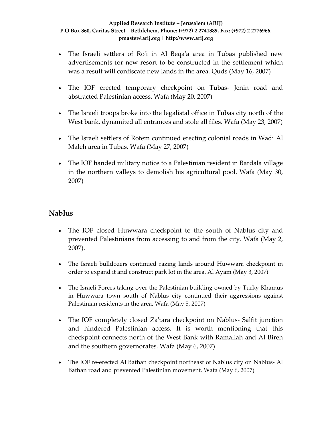- The Israeli settlers of Ro'i in Al Beqa'a area in Tubas published new advertisements for new resort to be constructed in the settlement which was a result will confiscate new lands in the area. Quds (May 16, 2007)
- The IOF erected temporary checkpoint on Tubas- Jenin road and abstracted Palestinian access. Wafa (May 20, 2007)
- The Israeli troops broke into the legalistal office in Tubas city north of the West bank, dynamited all entrances and stole all files. Wafa (May 23, 2007)
- The Israeli settlers of Rotem continued erecting colonial roads in Wadi Al Maleh area in Tubas. Wafa (May 27, 2007)
- The IOF handed military notice to a Palestinian resident in Bardala village in the northern valleys to demolish his agricultural pool. Wafa (May 30, 2007)

### **Nablus**

- The IOF closed Huwwara checkpoint to the south of Nablus city and prevented Palestinians from accessing to and from the city. Wafa (May 2, 2007).
- The Israeli bulldozers continued razing lands around Huwwara checkpoint in order to expand it and construct park lot in the area. Al Ayam (May 3, 2007)
- The Israeli Forces taking over the Palestinian building owned by Turky Khamus in Huwwara town south of Nablus city continued their aggressions against Palestinian residents in the area. Wafa (May 5, 2007)
- The IOF completely closed Za'tara checkpoint on Nablus-Salfit junction and hindered Palestinian access. It is worth mentioning that this checkpoint connects north of the West Bank with Ramallah and Al Bireh and the southern governorates. Wafa (May 6, 2007)
- The IOF re-erected Al Bathan checkpoint northeast of Nablus city on Nablus-Al Bathan road and prevented Palestinian movement. Wafa (May 6, 2007)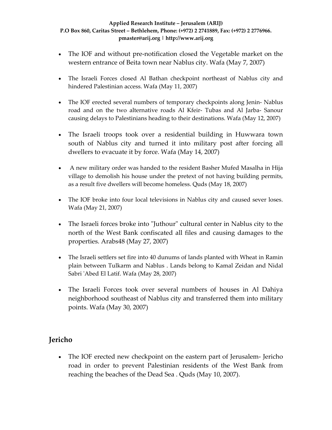- The IOF and without pre-notification closed the Vegetable market on the western entrance of Beita town near Nablus city. Wafa (May 7, 2007)
- The Israeli Forces closed Al Bathan checkpoint northeast of Nablus city and hindered Palestinian access. Wafa (May 11, 2007)
- The IOF erected several numbers of temporary checkpoints along Jenin-Nablus road and on the two alternative roads Al Kfeir‐ Tubas and Al Jarba‐ Sanour causing delays to Palestinians heading to their destinations. Wafa (May 12, 2007)
- The Israeli troops took over a residential building in Huwwara town south of Nablus city and turned it into military post after forcing all dwellers to evacuate it by force. Wafa (May 14, 2007)
- A new military order was handed to the resident Basher Mufed Masalha in Hija village to demolish his house under the pretext of not having building permits, as a result five dwellers will become homeless. Quds (May 18, 2007)
- The IOF broke into four local televisions in Nablus city and caused sever loses. Wafa (May 21, 2007)
- The Israeli forces broke into "Juthour" cultural center in Nablus city to the north of the West Bank confiscated all files and causing damages to the properties. Arabs48 (May 27, 2007)
- The Israeli settlers set fire into 40 dunums of lands planted with Wheat in Ramin plain between Tulkarm and Nablus . Lands belong to Kamal Zeidan and Nidal Sabri ʹAbed El Latif. Wafa (May 28, 2007)
- The Israeli Forces took over several numbers of houses in Al Dahiya neighborhood southeast of Nablus city and transferred them into military points. Wafa (May 30, 2007)

## **Jericho**

• The IOF erected new checkpoint on the eastern part of Jerusalem - Jericho road in order to prevent Palestinian residents of the West Bank from reaching the beaches of the Dead Sea . Quds (May 10, 2007).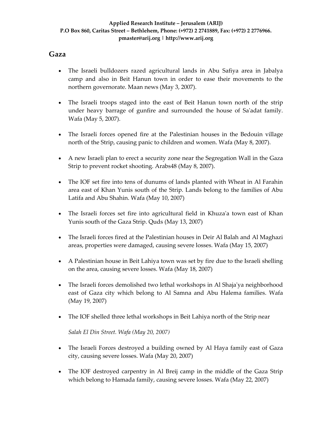### **Gaza**

- The Israeli bulldozers razed agricultural lands in Abu Safiya area in Jabalya camp and also in Beit Hanun town in order to ease their movements to the northern governorate. Maan news (May 3, 2007).
- The Israeli troops staged into the east of Beit Hanun town north of the strip under heavy barrage of gunfire and surrounded the house of Saʹadat family. Wafa (May 5, 2007).
- The Israeli forces opened fire at the Palestinian houses in the Bedouin village north of the Strip, causing panic to children and women. Wafa (May 8, 2007).
- A new Israeli plan to erect a security zone near the Segregation Wall in the Gaza Strip to prevent rocket shooting. Arabs48 (May 8, 2007).
- The IOF set fire into tens of dunums of lands planted with Wheat in Al Farahin area east of Khan Yunis south of the Strip. Lands belong to the families of Abu Latifa and Abu Shahin. Wafa (May 10, 2007)
- The Israeli forces set fire into agricultural field in Khuza'a town east of Khan Yunis south of the Gaza Strip. Quds (May 13, 2007)
- The Israeli forces fired at the Palestinian houses in Deir Al Balah and Al Maghazi areas, properties were damaged, causing severe losses. Wafa (May 15, 2007)
- A Palestinian house in Beit Lahiya town was set by fire due to the Israeli shelling on the area, causing severe losses. Wafa (May 18, 2007)
- The Israeli forces demolished two lethal workshops in Al Shaja'ya neighborhood east of Gaza city which belong to Al Samna and Abu Halema families. Wafa (May 19, 2007)
- The IOF shelled three lethal workshops in Beit Lahiya north of the Strip near

*Salah El Din Street. Wafa (May 20, 2007)* 

- The Israeli Forces destroyed a building owned by Al Haya family east of Gaza city, causing severe losses. Wafa (May 20, 2007)
- The IOF destroyed carpentry in Al Breij camp in the middle of the Gaza Strip which belong to Hamada family, causing severe losses. Wafa (May 22, 2007)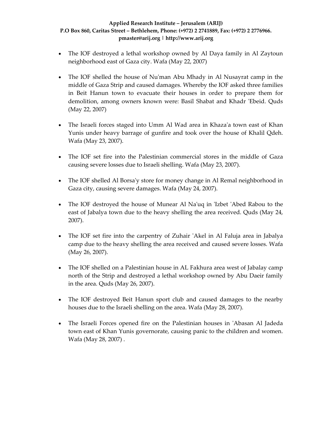- The IOF destroyed a lethal workshop owned by Al Daya family in Al Zaytoun neighborhood east of Gaza city. Wafa (May 22, 2007)
- The IOF shelled the house of Nu'man Abu Mhady in Al Nusayrat camp in the middle of Gaza Strip and caused damages. Whereby the IOF asked three families in Beit Hanun town to evacuate their houses in order to prepare them for demolition, among owners known were: Basil Shabat and Khadr 'Ebeid. Quds (May 22, 2007)
- The Israeli forces staged into Umm Al Wad area in Khaza'a town east of Khan Yunis under heavy barrage of gunfire and took over the house of Khalil Qdeh. Wafa (May 23, 2007).
- The IOF set fire into the Palestinian commercial stores in the middle of Gaza causing severe losses due to Israeli shelling. Wafa (May 23, 2007).
- The IOF shelled Al Borsa'y store for money change in Al Remal neighborhood in Gaza city, causing severe damages. Wafa (May 24, 2007).
- The IOF destroyed the house of Munear Al Na'uq in 'Izbet 'Abed Rabou to the east of Jabalya town due to the heavy shelling the area received. Quds (May 24, 2007).
- The IOF set fire into the carpentry of Zuhair 'Akel in Al Faluja area in Jabalya camp due to the heavy shelling the area received and caused severe losses. Wafa (May 26, 2007).
- The IOF shelled on a Palestinian house in AL Fakhura area west of Jabalay camp north of the Strip and destroyed a lethal workshop owned by Abu Daeir family in the area. Quds (May 26, 2007).
- The IOF destroyed Beit Hanun sport club and caused damages to the nearby houses due to the Israeli shelling on the area. Wafa (May 28, 2007).
- The Israeli Forces opened fire on the Palestinian houses in 'Abasan Al Jadeda town east of Khan Yunis governorate, causing panic to the children and women. Wafa (May 28, 2007) .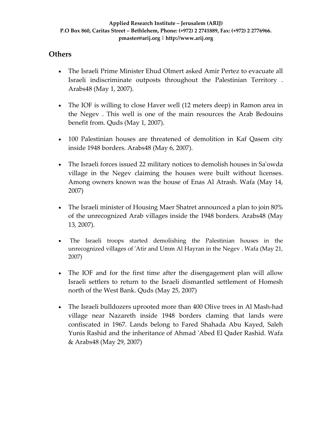### **Others**

- The Israeli Prime Minister Ehud Olmert asked Amir Pertez to evacuate all Israeli indiscriminate outposts throughout the Palestinian Territory . Arabs48 (May 1, 2007).
- The IOF is willing to close Haver well (12 meters deep) in Ramon area in the Negev . This well is one of the main resources the Arab Bedouins benefit from. Quds (May 1, 2007).
- 100 Palestinian houses are threatened of demolition in Kaf Qasem city inside 1948 borders. Arabs48 (May 6, 2007).
- The Israeli forces issued 22 military notices to demolish houses in Sa'owda village in the Negev claiming the houses were built without licenses. Among owners known was the house of Enas Al Atrash. Wafa (May 14, 2007)
- The Israeli minister of Housing Maer Shatret announced a plan to join 80% of the unrecognized Arab villages inside the 1948 borders. Arabs48 (May 13, 2007).
- The Israeli troops started demolishing the Palestinian houses in the unrecognized villages of ʹAtir and Umm Al Hayran in the Negev . Wafa (May 21, 2007)
- The IOF and for the first time after the disengagement plan will allow Israeli settlers to return to the Israeli dismantled settlement of Homesh north of the West Bank. Quds (May 25, 2007)
- The Israeli bulldozers uprooted more than 400 Olive trees in Al Mash-had village near Nazareth inside 1948 borders claming that lands were confiscated in 1967. Lands belong to Fared Shahada Abu Kayed, Saleh Yunis Rashid and the inheritance of Ahmad ʹAbed El Qader Rashid. Wafa & Arabs48 (May 29, 2007)